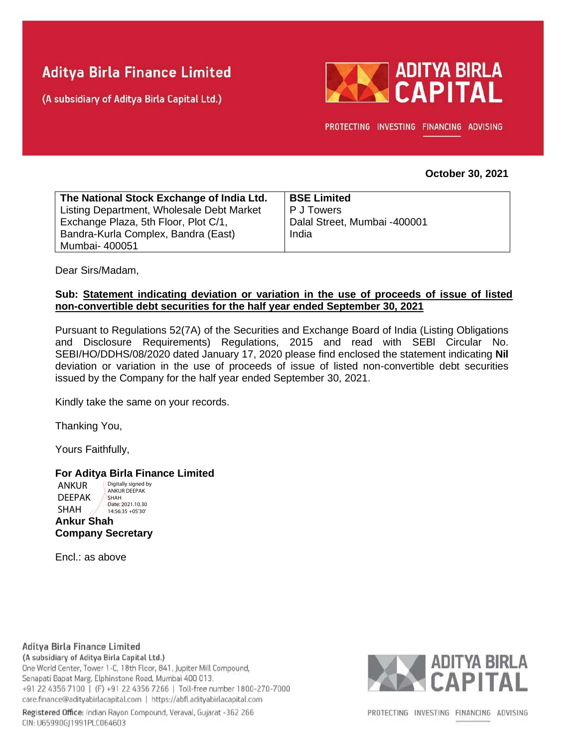# **Aditya Birla Finance Limited**

(A subsidiary of Aditya Birla Capital Ltd.)



PROTECTING INVESTING FINANCING ADVISING

#### **October 30, 2021**

| The National Stock Exchange of India Ltd. | <b>BSE Limited</b>           |
|-------------------------------------------|------------------------------|
| Listing Department, Wholesale Debt Market | I P J Towers                 |
| Exchange Plaza, 5th Floor, Plot C/1,      | Dalal Street, Mumbai -400001 |
| Bandra-Kurla Complex, Bandra (East)       | India                        |
| Mumbai- 400051                            |                              |

Dear Sirs/Madam,

### **Sub: Statement indicating deviation or variation in the use of proceeds of issue of listed non-convertible debt securities for the half year ended September 30, 2021**

Pursuant to Regulations 52(7A) of the Securities and Exchange Board of India (Listing Obligations and Disclosure Requirements) Regulations, 2015 and read with SEBl Circular No. SEBI/HO/DDHS/08/2020 dated January 17, 2020 please find enclosed the statement indicating **Nil** deviation or variation in the use of proceeds of issue of listed non-convertible debt securities issued by the Company for the half year ended September 30, 2021.

Kindly take the same on your records.

Thanking You,

Yours Faithfully,

#### **For Aditya Birla Finance Limited**

**Ankur Shah Company Secretary** ANKUR DEEPAK SHAH Digitally signed by ANKUR DEEPAK SHAH Date: 2021.10.30 14:56:35 +05'30'

Encl.: as above

## Aditya Birla Finance Limited

(A subsidiary of Aditya Birla Capital Ltd.) One World Center, Tower 1-C, 18th Floor, 841, Jupiter Mill Compound, Senapati Bapat Marg, Elphinstone Road, Mumbai 400 013. +91 22 4356 7100 | (F) +91 22 4356 7266 | Toll-free number 1800-270-7000 care.finance@adityabirlacapital.com | https://abfl.adityabirlacapital.com





PROTECTING INVESTING FINANCING ADVISING